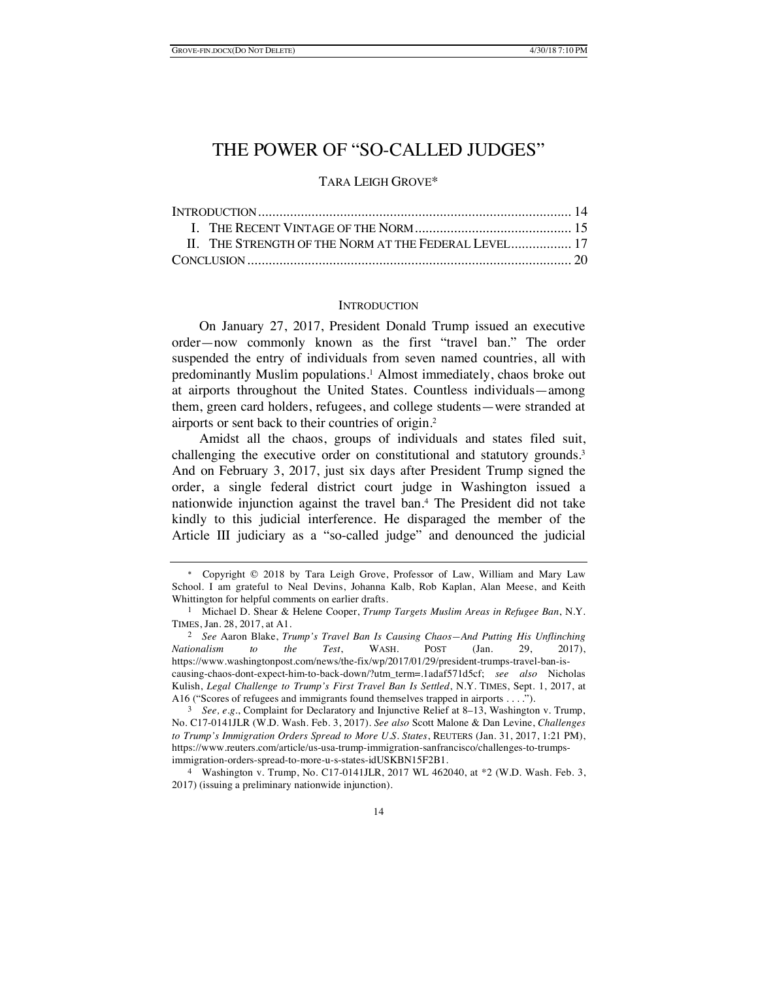# THE POWER OF "SO-CALLED JUDGES"

# TARA LEIGH GROVE\*

| II. THE STRENGTH OF THE NORM AT THE FEDERAL LEVEL 17 |  |
|------------------------------------------------------|--|
|                                                      |  |

#### **INTRODUCTION**

On January 27, 2017, President Donald Trump issued an executive order—now commonly known as the first "travel ban." The order suspended the entry of individuals from seven named countries, all with predominantly Muslim populations.1 Almost immediately, chaos broke out at airports throughout the United States. Countless individuals—among them, green card holders, refugees, and college students—were stranded at airports or sent back to their countries of origin.2

Amidst all the chaos, groups of individuals and states filed suit, challenging the executive order on constitutional and statutory grounds. 3 And on February 3, 2017, just six days after President Trump signed the order, a single federal district court judge in Washington issued a nationwide injunction against the travel ban.4 The President did not take kindly to this judicial interference. He disparaged the member of the Article III judiciary as a "so-called judge" and denounced the judicial

<sup>\*</sup> Copyright © 2018 by Tara Leigh Grove, Professor of Law, William and Mary Law School. I am grateful to Neal Devins, Johanna Kalb, Rob Kaplan, Alan Meese, and Keith Whittington for helpful comments on earlier drafts.

<sup>1</sup> Michael D. Shear & Helene Cooper, *Trump Targets Muslim Areas in Refugee Ban*, N.Y. TIMES, Jan. 28, 2017, at A1.

<sup>2</sup> *See* Aaron Blake, *Trump's Travel Ban Is Causing Chaos—And Putting His Unflinching Nationalism to the Test*, WASH. POST (Jan. 29, 2017), https://www.washingtonpost.com/news/the-fix/wp/2017/01/29/president-trumps-travel-ban-iscausing-chaos-dont-expect-him-to-back-down/?utm\_term=.1adaf571d5cf; *see also* Nicholas Kulish, *Legal Challenge to Trump's First Travel Ban Is Settled*, N.Y. TIMES, Sept. 1, 2017, at A16 ("Scores of refugees and immigrants found themselves trapped in airports . . . .").<br>  $\frac{3}{2}$  See e g. Complaint for Declaratory and Injunctive Relief at 8–13. Washington

<sup>3</sup> *See, e.g.*, Complaint for Declaratory and Injunctive Relief at 8–13, Washington v. Trump, No. C17-0141JLR (W.D. Wash. Feb. 3, 2017). *See also* Scott Malone & Dan Levine, *Challenges to Trump's Immigration Orders Spread to More U.S. States*, REUTERS (Jan. 31, 2017, 1:21 PM), https://www.reuters.com/article/us-usa-trump-immigration-sanfrancisco/challenges-to-trumpsimmigration-orders-spread-to-more-u-s-states-idUSKBN15F2B1.

<sup>4</sup> Washington v. Trump, No. C17-0141JLR, 2017 WL 462040, at \*2 (W.D. Wash. Feb. 3, 2017) (issuing a preliminary nationwide injunction).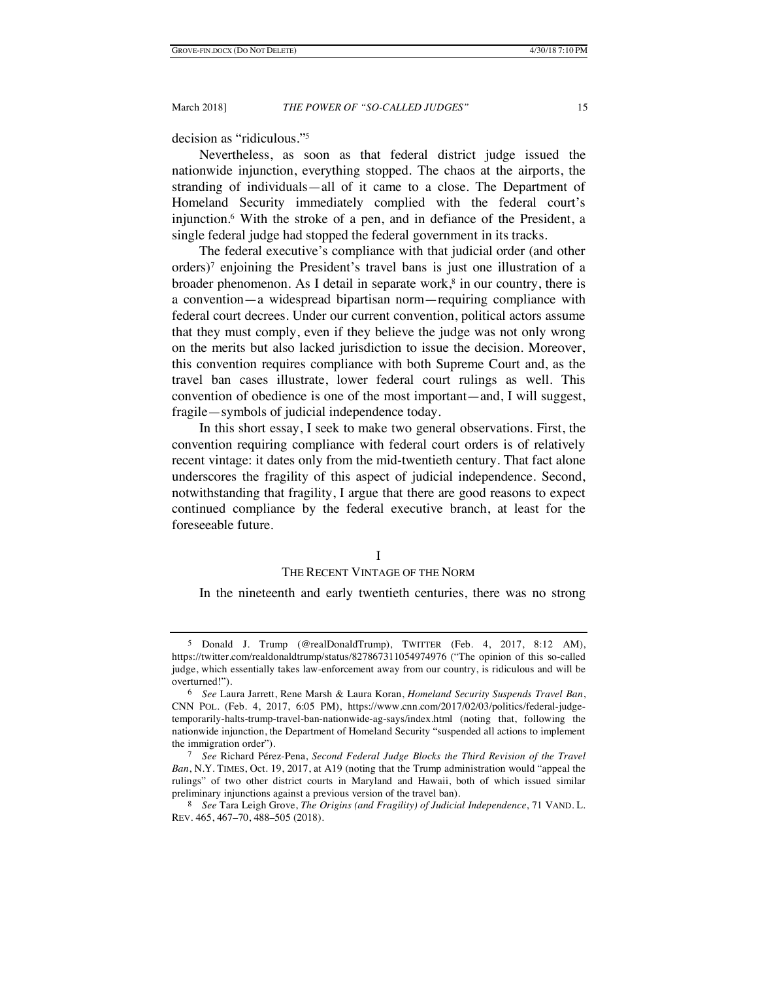decision as "ridiculous."5

Nevertheless, as soon as that federal district judge issued the nationwide injunction, everything stopped. The chaos at the airports, the stranding of individuals—all of it came to a close. The Department of Homeland Security immediately complied with the federal court's injunction.6 With the stroke of a pen, and in defiance of the President, a single federal judge had stopped the federal government in its tracks.

The federal executive's compliance with that judicial order (and other orders)7 enjoining the President's travel bans is just one illustration of a broader phenomenon. As I detail in separate work, $\frac{8}{3}$  in our country, there is a convention—a widespread bipartisan norm—requiring compliance with federal court decrees. Under our current convention, political actors assume that they must comply, even if they believe the judge was not only wrong on the merits but also lacked jurisdiction to issue the decision. Moreover, this convention requires compliance with both Supreme Court and, as the travel ban cases illustrate, lower federal court rulings as well. This convention of obedience is one of the most important—and, I will suggest, fragile—symbols of judicial independence today.

In this short essay, I seek to make two general observations. First, the convention requiring compliance with federal court orders is of relatively recent vintage: it dates only from the mid-twentieth century. That fact alone underscores the fragility of this aspect of judicial independence. Second, notwithstanding that fragility, I argue that there are good reasons to expect continued compliance by the federal executive branch, at least for the foreseeable future.

#### I

#### THE RECENT VINTAGE OF THE NORM

In the nineteenth and early twentieth centuries, there was no strong

<sup>5</sup> Donald J. Trump (@realDonaldTrump), TWITTER (Feb. 4, 2017, 8:12 AM), https://twitter.com/realdonaldtrump/status/827867311054974976 ("The opinion of this so-called judge, which essentially takes law-enforcement away from our country, is ridiculous and will be overturned!").

<sup>6</sup> *See* Laura Jarrett, Rene Marsh & Laura Koran, *Homeland Security Suspends Travel Ban*, CNN POL. (Feb. 4, 2017, 6:05 PM), https://www.cnn.com/2017/02/03/politics/federal-judgetemporarily-halts-trump-travel-ban-nationwide-ag-says/index.html (noting that, following the nationwide injunction, the Department of Homeland Security "suspended all actions to implement the immigration order").

<sup>7</sup> *See* Richard Pérez-Pena, *Second Federal Judge Blocks the Third Revision of the Travel Ban*, N.Y. TIMES, Oct. 19, 2017, at A19 (noting that the Trump administration would "appeal the rulings" of two other district courts in Maryland and Hawaii, both of which issued similar preliminary injunctions against a previous version of the travel ban).

<sup>8</sup> *See* Tara Leigh Grove, *The Origins (and Fragility) of Judicial Independence*, 71 VAND. L. REV. 465, 467–70, 488–505 (2018).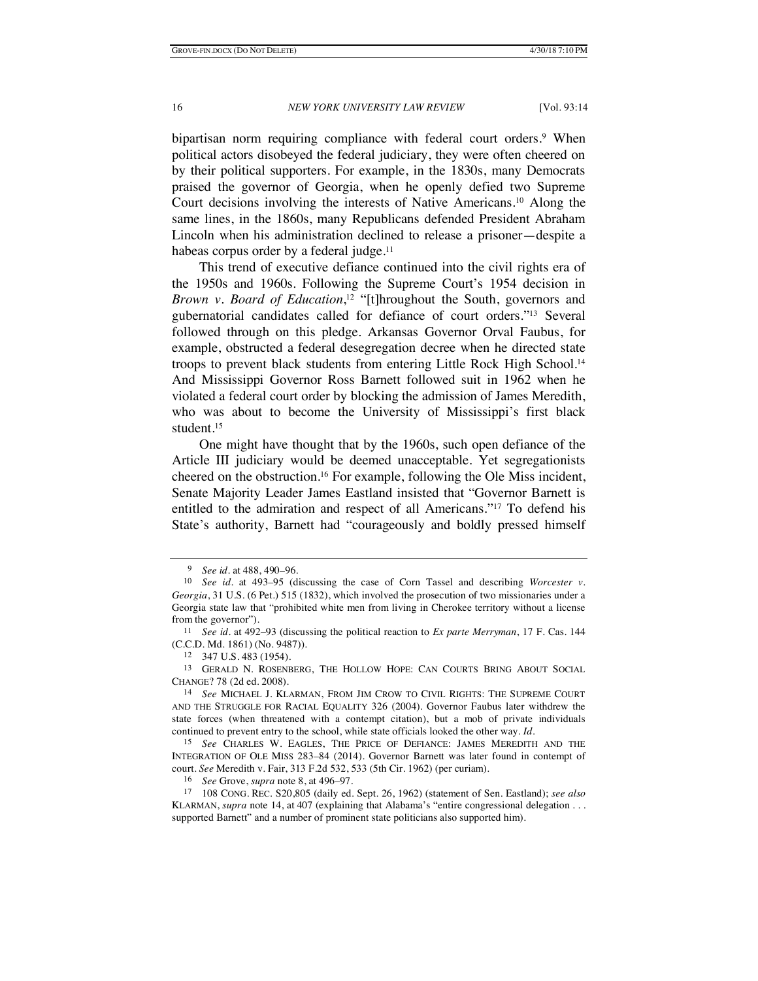bipartisan norm requiring compliance with federal court orders.<sup>9</sup> When political actors disobeyed the federal judiciary, they were often cheered on by their political supporters. For example, in the 1830s, many Democrats praised the governor of Georgia, when he openly defied two Supreme Court decisions involving the interests of Native Americans.10 Along the same lines, in the 1860s, many Republicans defended President Abraham Lincoln when his administration declined to release a prisoner—despite a habeas corpus order by a federal judge.<sup>11</sup>

This trend of executive defiance continued into the civil rights era of the 1950s and 1960s. Following the Supreme Court's 1954 decision in *Brown v. Board of Education*, <sup>12</sup> "[t]hroughout the South, governors and gubernatorial candidates called for defiance of court orders."13 Several followed through on this pledge. Arkansas Governor Orval Faubus, for example, obstructed a federal desegregation decree when he directed state troops to prevent black students from entering Little Rock High School.<sup>14</sup> And Mississippi Governor Ross Barnett followed suit in 1962 when he violated a federal court order by blocking the admission of James Meredith, who was about to become the University of Mississippi's first black student.15

One might have thought that by the 1960s, such open defiance of the Article III judiciary would be deemed unacceptable. Yet segregationists cheered on the obstruction.16 For example, following the Ole Miss incident, Senate Majority Leader James Eastland insisted that "Governor Barnett is entitled to the admiration and respect of all Americans."17 To defend his State's authority, Barnett had "courageously and boldly pressed himself

<sup>9</sup> *See id.* at 488, 490–96.

<sup>10</sup> *See id.* at 493–95 (discussing the case of Corn Tassel and describing *Worcester v. Georgia*, 31 U.S. (6 Pet.) 515 (1832), which involved the prosecution of two missionaries under a Georgia state law that "prohibited white men from living in Cherokee territory without a license from the governor").

<sup>11</sup> *See id.* at 492–93 (discussing the political reaction to *Ex parte Merryman*, 17 F. Cas. 144 (C.C.D. Md. 1861) (No. 9487)).

<sup>12</sup> 347 U.S. 483 (1954).

<sup>13</sup> GERALD N. ROSENBERG, THE HOLLOW HOPE: CAN COURTS BRING ABOUT SOCIAL CHANGE? 78 (2d ed. 2008).

<sup>14</sup> *See* MICHAEL J. KLARMAN, FROM JIM CROW TO CIVIL RIGHTS: THE SUPREME COURT AND THE STRUGGLE FOR RACIAL EQUALITY 326 (2004). Governor Faubus later withdrew the state forces (when threatened with a contempt citation), but a mob of private individuals continued to prevent entry to the school, while state officials looked the other way. *Id.*

<sup>15</sup> *See* CHARLES W. EAGLES, THE PRICE OF DEFIANCE: JAMES MEREDITH AND THE INTEGRATION OF OLE MISS 283–84 (2014). Governor Barnett was later found in contempt of court. *See* Meredith v. Fair, 313 F.2d 532, 533 (5th Cir. 1962) (per curiam).

<sup>16</sup> *See* Grove, *supra* note 8, at 496–97.

<sup>17</sup> 108 CONG. REC. S20,805 (daily ed. Sept. 26, 1962) (statement of Sen. Eastland); *see also* KLARMAN, *supra* note 14, at 407 (explaining that Alabama's "entire congressional delegation . . . supported Barnett" and a number of prominent state politicians also supported him).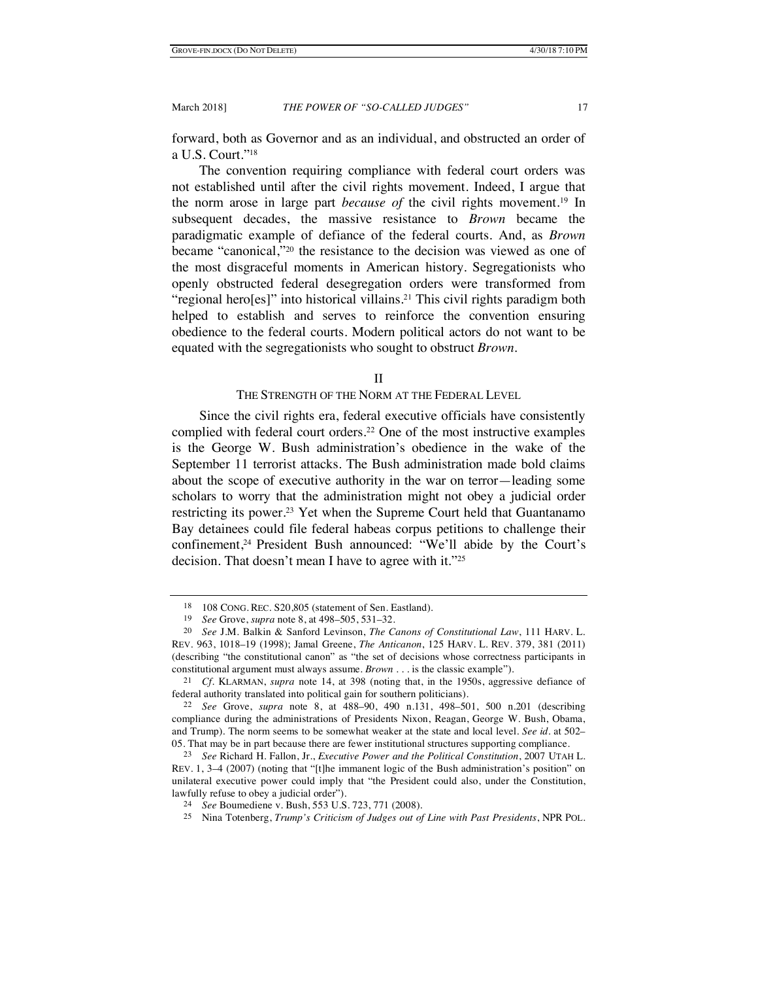forward, both as Governor and as an individual, and obstructed an order of a U.S. Court."18

The convention requiring compliance with federal court orders was not established until after the civil rights movement. Indeed, I argue that the norm arose in large part *because of* the civil rights movement.19 In subsequent decades, the massive resistance to *Brown* became the paradigmatic example of defiance of the federal courts. And, as *Brown*  became "canonical,"20 the resistance to the decision was viewed as one of the most disgraceful moments in American history. Segregationists who openly obstructed federal desegregation orders were transformed from "regional hero[es]" into historical villains.21 This civil rights paradigm both helped to establish and serves to reinforce the convention ensuring obedience to the federal courts. Modern political actors do not want to be equated with the segregationists who sought to obstruct *Brown*.

## II

# THE STRENGTH OF THE NORM AT THE FEDERAL LEVEL

Since the civil rights era, federal executive officials have consistently complied with federal court orders.22 One of the most instructive examples is the George W. Bush administration's obedience in the wake of the September 11 terrorist attacks. The Bush administration made bold claims about the scope of executive authority in the war on terror—leading some scholars to worry that the administration might not obey a judicial order restricting its power.23 Yet when the Supreme Court held that Guantanamo Bay detainees could file federal habeas corpus petitions to challenge their confinement,<sup>24</sup> President Bush announced: "We'll abide by the Court's decision. That doesn't mean I have to agree with it."25

<sup>18</sup> 108 CONG. REC. S20,805 (statement of Sen. Eastland).

<sup>19</sup> *See* Grove, *supra* note 8, at 498–505, 531–32.

<sup>20</sup> *See* J.M. Balkin & Sanford Levinson, *The Canons of Constitutional Law*, 111 HARV. L. REV. 963, 1018–19 (1998); Jamal Greene, *The Anticanon*, 125 HARV. L. REV. 379, 381 (2011) (describing "the constitutional canon" as "the set of decisions whose correctness participants in constitutional argument must always assume. *Brown* . . . is the classic example").

<sup>21</sup> *Cf.* KLARMAN, *supra* note 14, at 398 (noting that, in the 1950s, aggressive defiance of federal authority translated into political gain for southern politicians).

<sup>22</sup> *See* Grove, *supra* note 8, at 488–90, 490 n.131, 498–501, 500 n.201 (describing compliance during the administrations of Presidents Nixon, Reagan, George W. Bush, Obama, and Trump). The norm seems to be somewhat weaker at the state and local level. *See id.* at 502– 05. That may be in part because there are fewer institutional structures supporting compliance.

<sup>23</sup> *See* Richard H. Fallon, Jr., *Executive Power and the Political Constitution*, 2007 UTAH L. REV. 1, 3–4 (2007) (noting that "[t]he immanent logic of the Bush administration's position" on unilateral executive power could imply that "the President could also, under the Constitution, lawfully refuse to obey a judicial order").

<sup>24</sup> *See* Boumediene v. Bush, 553 U.S. 723, 771 (2008).

<sup>25</sup> Nina Totenberg, *Trump's Criticism of Judges out of Line with Past Presidents*, NPR POL.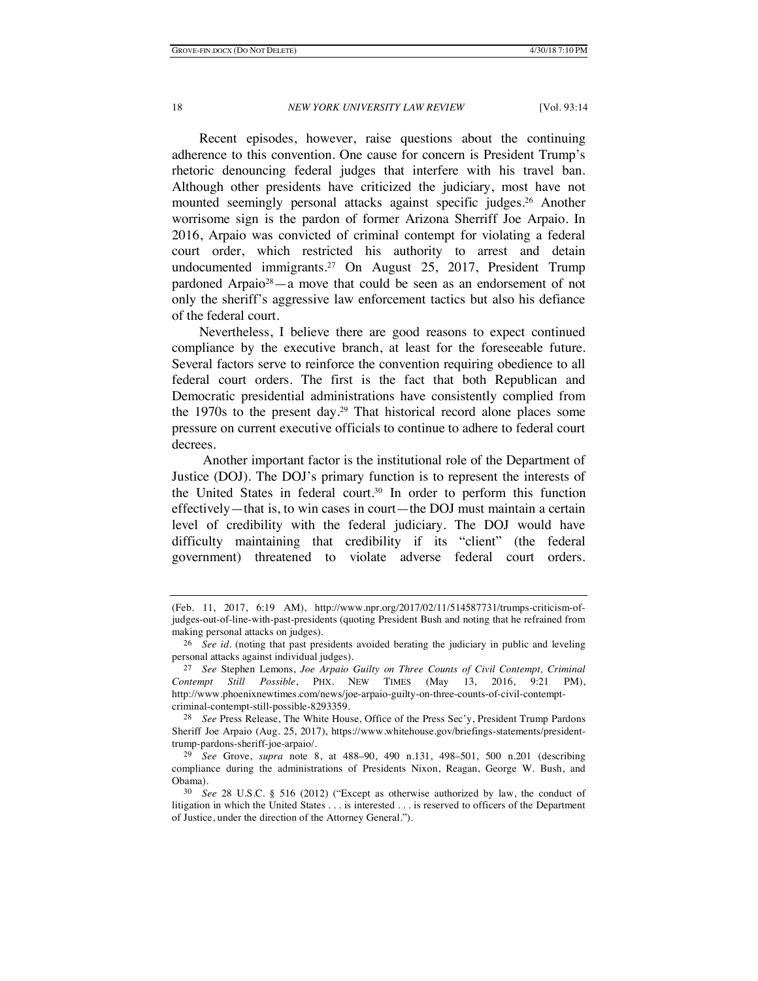Recent episodes, however, raise questions about the continuing adherence to this convention. One cause for concern is President Trump's rhetoric denouncing federal judges that interfere with his travel ban. Although other presidents have criticized the judiciary, most have not mounted seemingly personal attacks against specific judges.26 Another worrisome sign is the pardon of former Arizona Sherriff Joe Arpaio. In 2016, Arpaio was convicted of criminal contempt for violating a federal court order, which restricted his authority to arrest and detain undocumented immigrants.<sup>27</sup> On August 25, 2017, President Trump pardoned Arpaio28—a move that could be seen as an endorsement of not only the sheriff's aggressive law enforcement tactics but also his defiance of the federal court.

Nevertheless, I believe there are good reasons to expect continued compliance by the executive branch, at least for the foreseeable future. Several factors serve to reinforce the convention requiring obedience to all federal court orders. The first is the fact that both Republican and Democratic presidential administrations have consistently complied from the 1970s to the present day.29 That historical record alone places some pressure on current executive officials to continue to adhere to federal court decrees.

Another important factor is the institutional role of the Department of Justice (DOJ). The DOJ's primary function is to represent the interests of the United States in federal court.30 In order to perform this function effectively—that is, to win cases in court—the DOJ must maintain a certain level of credibility with the federal judiciary. The DOJ would have difficulty maintaining that credibility if its "client" (the federal government) threatened to violate adverse federal court orders.

<sup>(</sup>Feb. 11, 2017, 6:19 AM), http://www.npr.org/2017/02/11/514587731/trumps-criticism-ofjudges-out-of-line-with-past-presidents (quoting President Bush and noting that he refrained from making personal attacks on judges).

<sup>26</sup> *See id.* (noting that past presidents avoided berating the judiciary in public and leveling personal attacks against individual judges).

<sup>27</sup> *See* Stephen Lemons, *Joe Arpaio Guilty on Three Counts of Civil Contempt, Criminal Contempt Still Possible*, PHX. NEW TIMES (May 13, 2016, 9:21 PM), http://www.phoenixnewtimes.com/news/joe-arpaio-guilty-on-three-counts-of-civil-contemptcriminal-contempt-still-possible-8293359.

<sup>28</sup> *See* Press Release, The White House, Office of the Press Sec'y, President Trump Pardons Sheriff Joe Arpaio (Aug. 25, 2017), https://www.whitehouse.gov/briefings-statements/presidenttrump-pardons-sheriff-joe-arpaio/.

<sup>29</sup> *See* Grove, *supra* note 8, at 488–90, 490 n.131, 498–501, 500 n.201 (describing compliance during the administrations of Presidents Nixon, Reagan, George W. Bush, and Obama).

<sup>30</sup> *See* 28 U.S.C. § 516 (2012) ("Except as otherwise authorized by law, the conduct of litigation in which the United States . . . is interested . . . is reserved to officers of the Department of Justice, under the direction of the Attorney General.").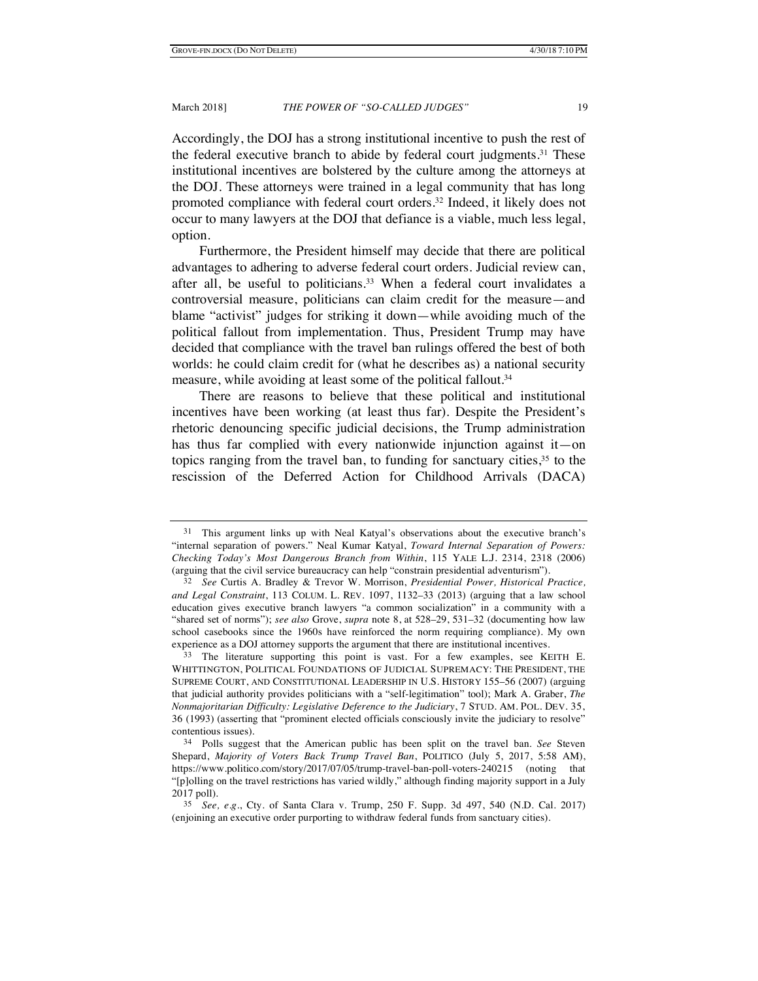Accordingly, the DOJ has a strong institutional incentive to push the rest of the federal executive branch to abide by federal court judgments. <sup>31</sup> These institutional incentives are bolstered by the culture among the attorneys at the DOJ. These attorneys were trained in a legal community that has long promoted compliance with federal court orders.32 Indeed, it likely does not occur to many lawyers at the DOJ that defiance is a viable, much less legal, option.

Furthermore, the President himself may decide that there are political advantages to adhering to adverse federal court orders. Judicial review can, after all, be useful to politicians.33 When a federal court invalidates a controversial measure, politicians can claim credit for the measure—and blame "activist" judges for striking it down—while avoiding much of the political fallout from implementation. Thus, President Trump may have decided that compliance with the travel ban rulings offered the best of both worlds: he could claim credit for (what he describes as) a national security measure, while avoiding at least some of the political fallout.34

There are reasons to believe that these political and institutional incentives have been working (at least thus far). Despite the President's rhetoric denouncing specific judicial decisions, the Trump administration has thus far complied with every nationwide injunction against it—on topics ranging from the travel ban, to funding for sanctuary cities,  $3<sup>5</sup>$  to the rescission of the Deferred Action for Childhood Arrivals (DACA)

<sup>31</sup> This argument links up with Neal Katyal's observations about the executive branch's "internal separation of powers." Neal Kumar Katyal, *Toward Internal Separation of Powers: Checking Today's Most Dangerous Branch from Within*, 115 YALE L.J. 2314, 2318 (2006) (arguing that the civil service bureaucracy can help "constrain presidential adventurism").

<sup>32</sup> *See* Curtis A. Bradley & Trevor W. Morrison, *Presidential Power, Historical Practice, and Legal Constraint*, 113 COLUM. L. REV. 1097, 1132–33 (2013) (arguing that a law school education gives executive branch lawyers "a common socialization" in a community with a "shared set of norms"); *see also* Grove, *supra* note 8, at 528–29, 531–32 (documenting how law school casebooks since the 1960s have reinforced the norm requiring compliance). My own experience as a DOJ attorney supports the argument that there are institutional incentives.

<sup>33</sup> The literature supporting this point is vast. For a few examples, see KEITH E. WHITTINGTON, POLITICAL FOUNDATIONS OF JUDICIAL SUPREMACY: THE PRESIDENT, THE SUPREME COURT, AND CONSTITUTIONAL LEADERSHIP IN U.S. HISTORY 155–56 (2007) (arguing that judicial authority provides politicians with a "self-legitimation" tool); Mark A. Graber, *The Nonmajoritarian Difficulty: Legislative Deference to the Judiciary*, 7 STUD. AM. POL. DEV. 35, 36 (1993) (asserting that "prominent elected officials consciously invite the judiciary to resolve" contentious issues).

<sup>34</sup> Polls suggest that the American public has been split on the travel ban. *See* Steven Shepard, *Majority of Voters Back Trump Travel Ban*, POLITICO (July 5, 2017, 5:58 AM), https://www.politico.com/story/2017/07/05/trump-travel-ban-poll-voters-240215 (noting that "[p]olling on the travel restrictions has varied wildly," although finding majority support in a July 2017 poll).

<sup>35</sup> *See, e.g.*, Cty. of Santa Clara v. Trump, 250 F. Supp. 3d 497, 540 (N.D. Cal. 2017) (enjoining an executive order purporting to withdraw federal funds from sanctuary cities).